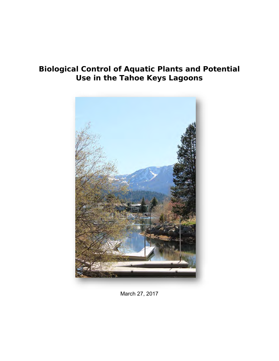# **Biological Control of Aquatic Plants and Potential Use in the Tahoe Keys Lagoons**



March 27, 2017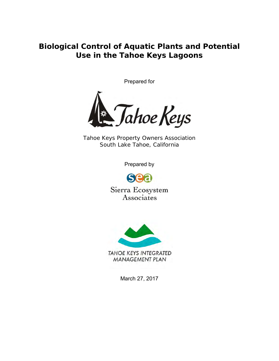**Biological Control of Aquatic Plants and Potential Use in the Tahoe Keys Lagoons**

Prepared for



*Tahoe Keys Property Owners Association South Lake Tahoe, California*

Prepared by



Sierra Ecosystem Associates



March 27, 2017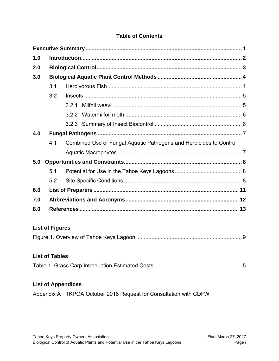#### **Table of Contents**

| 1.0 |                        |                                                                    |  |  |  |  |
|-----|------------------------|--------------------------------------------------------------------|--|--|--|--|
| 2.0 |                        |                                                                    |  |  |  |  |
| 3.0 |                        |                                                                    |  |  |  |  |
|     | 3.1                    |                                                                    |  |  |  |  |
|     | 3.2                    |                                                                    |  |  |  |  |
|     |                        |                                                                    |  |  |  |  |
|     |                        |                                                                    |  |  |  |  |
|     |                        |                                                                    |  |  |  |  |
| 4.0 |                        |                                                                    |  |  |  |  |
|     | 4.1                    | Combined Use of Fungal Aquatic Pathogens and Herbicides to Control |  |  |  |  |
|     |                        |                                                                    |  |  |  |  |
| 5.0 |                        |                                                                    |  |  |  |  |
|     | 5.1                    |                                                                    |  |  |  |  |
|     | 5.2                    |                                                                    |  |  |  |  |
| 6.0 |                        |                                                                    |  |  |  |  |
| 7.0 |                        |                                                                    |  |  |  |  |
| 8.0 |                        |                                                                    |  |  |  |  |
|     |                        |                                                                    |  |  |  |  |
|     | <b>List of Figures</b> |                                                                    |  |  |  |  |
|     |                        |                                                                    |  |  |  |  |
|     |                        |                                                                    |  |  |  |  |
|     | <b>List of Tables</b>  |                                                                    |  |  |  |  |

## [Table 1. Grass Carp Introduction Estimated Costs](#page-7-2) ......................................................... 5

#### **List of Appendices**

Appendix A TKPOA October 2016 Request for Consultation with CDFW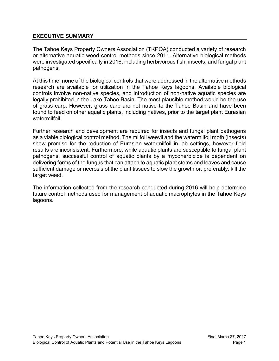#### <span id="page-3-0"></span>**EXECUTIVE SUMMARY**

The Tahoe Keys Property Owners Association (TKPOA) conducted a variety of research or alternative aquatic weed control methods since 2011. Alternative biological methods were investigated specifically in 2016, including herbivorous fish, insects, and fungal plant pathogens.

At this time, none of the biological controls that were addressed in the alternative methods research are available for utilization in the Tahoe Keys lagoons. Available biological controls involve non-native species, and introduction of non-native aquatic species are legally prohibited in the Lake Tahoe Basin. The most plausible method would be the use of grass carp. However, grass carp are not native to the Tahoe Basin and have been found to feed on other aquatic plants, including natives, prior to the target plant Eurasian watermilfoil.

Further research and development are required for insects and fungal plant pathogens as a viable biological control method. The milfoil weevil and the watermilfoil moth (insects) show promise for the reduction of Eurasian watermilfoil in lab settings, however field results are inconsistent. Furthermore, while aquatic plants are susceptible to fungal plant pathogens, successful control of aquatic plants by a mycoherbicide is dependent on delivering forms of the fungus that can attach to aquatic plant stems and leaves and cause sufficient damage or necrosis of the plant tissues to slow the growth or, preferably, kill the target weed.

The information collected from the research conducted during 2016 will help determine future control methods used for management of aquatic macrophytes in the Tahoe Keys lagoons.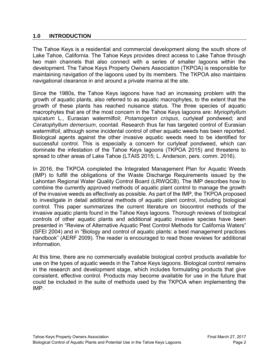#### <span id="page-4-0"></span>**1.0 INTRODUCTION**

The Tahoe Keys is a residential and commercial development along the south shore of Lake Tahoe, California. The Tahoe Keys provides direct access to Lake Tahoe through two main channels that also connect with a series of smaller lagoons within the development. The Tahoe Keys Property Owners Association (TKPOA) is responsible for maintaining navigation of the lagoons used by its members. The TKPOA also maintains navigational clearance in and around a private marina at the site.

Since the 1980s, the Tahoe Keys lagoons have had an increasing problem with the growth of aquatic plants, also referred to as aquatic macrophytes, to the extent that the growth of these plants has reached nuisance status. The three species of aquatic macrophytes that are of the most concern in the Tahoe Keys lagoons are: *Myriophyllum spicatum* L., Eurasian watermilfoil; *Potamogeton crispus*, curlyleaf pondweed; and *Ceratophyllum demersum*, coontail. Research thus far has targeted control of Eurasian watermilfoil, although some incidental control of other aquatic weeds has been reported. Biological agents against the other invasive aquatic weeds need to be identified for successful control. This is especially a concern for curlyleaf pondweed, which can dominate the infestation of the Tahoe Keys lagoons (TKPOA 2015) and threatens to spread to other areas of Lake Tahoe (LTAIS 2015; L. Anderson, pers. comm. 2016).

In 2016, the TKPOA completed the Integrated Management Plan for Aquatic Weeds (IMP) to fulfill the obligations of the Waste Discharge Requirements issued by the Lahontan Regional Water Quality Control Board (LRWQCB). The IMP describes how to combine the currently approved methods of aquatic plant control to manage the growth of the invasive weeds as effectively as possible. As part of the IMP, the TKPOA proposed to investigate in detail additional methods of aquatic plant control, including biological control. This paper summarizes the current literature on biocontrol methods of the invasive aquatic plants found in the Tahoe Keys lagoons. Thorough reviews of biological controls of other aquatic plants and additional aquatic invasive species have been presented in "Review of Alternative Aquatic Pest Control Methods for California Waters" (SFEI 2004) and in "Biology and control of aquatic plants: a best management practices handbook" (AERF 2009). The reader is encouraged to read those reviews for additional information.

At this time, there are no commercially available biological control products available for use on the types of aquatic weeds in the Tahoe Keys lagoons. Biological control remains in the research and development stage, which includes formulating products that give consistent, effective control. Products may become available for use in the future that could be included in the suite of methods used by the TKPOA when implementing the IMP.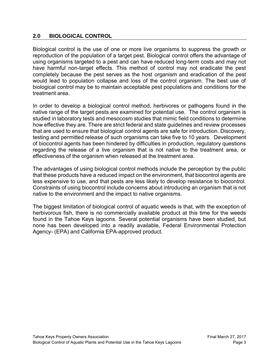#### <span id="page-5-0"></span>**2.0 BIOLOGICAL CONTROL**

Biological control is the use of one or more live organisms to suppress the growth or reproduction of the population of a target pest. Biological control offers the advantage of using organisms targeted to a pest and can have reduced long-term costs and may not have harmful non-target effects. This method of control may not eradicate the pest completely because the pest serves as the host organism and eradication of the pest would lead to population collapse and loss of the control organism. The best use of biological control may be to maintain acceptable pest populations and conditions for the treatment area.

In order to develop a biological control method, herbivores or pathogens found in the native range of the target pests are examined for potential use. The control organism is studied in laboratory tests and mesocosm studies that mimic field conditions to determine how effective they are. There are strict federal and state guidelines and review processes that are used to ensure that biological control agents are safe for introduction. Discovery, testing and permitted release of such organisms can take five to 10 years. Development of biocontrol agents has been hindered by difficulties in production, regulatory questions regarding the release of a live organism that is not native to the treatment area, or effectiveness of the organism when released at the treatment area.

The advantages of using biological control methods include the perception by the public that these products have a reduced impact on the environment, that biocontrol agents are less expensive to use, and that pests are less likely to develop resistance to biocontrol. Constraints of using biocontrol include concerns about introducing an organism that is not native to the environment and the impact to native organisms.

The biggest limitation of biological control of aquatic weeds is that, with the exception of herbivorous fish, there is no commercially available product at this time for the weeds found in the Tahoe Keys lagoons. Several potential organisms have been studied, but none has been developed into a readily available, Federal Environmental Protection Agency- (EPA) and California EPA-approved product.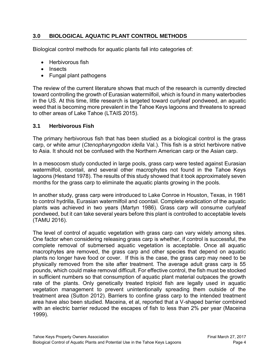### <span id="page-6-0"></span>**3.0 BIOLOGICAL AQUATIC PLANT CONTROL METHODS**

Biological control methods for aquatic plants fall into categories of:

- Herbivorous fish
- Insects
- Fungal plant pathogens

The review of the current literature shows that much of the research is currently directed toward controlling the growth of Eurasian watermilfoil, which is found in many waterbodies in the US. At this time, little research is targeted toward curlyleaf pondweed, an aquatic weed that is becoming more prevalent in the Tahoe Keys lagoons and threatens to spread to other areas of Lake Tahoe (LTAIS 2015).

#### <span id="page-6-1"></span>**3.1 Herbivorous Fish**

The primary herbivorous fish that has been studied as a biological control is the grass carp, or white amur (*Ctenopharyngodon idella* Val.). This fish is a strict herbivore native to Asia. It should not be confused with the Northern American carp or the Asian carp.

In a mesocosm study conducted in large pools, grass carp were tested against Eurasian watermilfoil, coontail, and several other macrophytes not found in the Tahoe Keys lagoons (Hestand 1978). The results of this study showed that it took approximately seven months for the grass carp to eliminate the aquatic plants growing in the pools.

In another study, grass carp were introduced to Lake Conroe in Houston, Texas, in 1981 to control hydrilla, Eurasian watermilfoil and coontail. Complete eradication of the aquatic plants was achieved in two years (Martyn 1986). Grass carp will consume curlyleaf pondweed, but it can take several years before this plant is controlled to acceptable levels (TAMU 2016).

The level of control of aquatic vegetation with grass carp can vary widely among sites. One factor when considering releasing grass carp is whether, if control is successful, the complete removal of submersed aquatic vegetation is acceptable. Once all aquatic macrophytes are removed, the grass carp and other species that depend on aquatic plants no longer have food or cover. If this is the case, the grass carp may need to be physically removed from the site after treatment. The average adult grass carp is 55 pounds, which could make removal difficult. For effective control, the fish must be stocked in sufficient numbers so that consumption of aquatic plant material outpaces the growth rate of the plants. Only genetically treated triploid fish are legally used in aquatic vegetation management to prevent unintentionally spreading them outside of the treatment area (Sutton 2012). Barriers to confine grass carp to the intended treatment area have also been studied. Maceina, et al, reported that a V-shaped barrier combined with an electric barrier reduced the escapes of fish to less than 2% per year (Maceina 1999).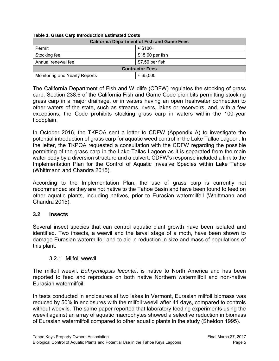| <b>California Department of Fish and Game Fees</b> |                   |  |  |  |  |
|----------------------------------------------------|-------------------|--|--|--|--|
| Permit                                             | $\approx$ \$100+  |  |  |  |  |
| Stocking fee                                       | $$15.00$ per fish |  |  |  |  |
| Annual renewal fee                                 | \$7.50 per fish   |  |  |  |  |
| <b>Contractor Fees</b>                             |                   |  |  |  |  |
| Monitoring and Yearly Reports                      | $\approx$ \$5,000 |  |  |  |  |

#### <span id="page-7-2"></span>**Table 1. Grass Carp Introduction Estimated Costs**

The California Department of Fish and Wildlife (CDFW) regulates the stocking of grass carp. Section 238.6 of the California Fish and Game Code prohibits permitting stocking grass carp in a major drainage, or in waters having an open freshwater connection to other waters of the state, such as streams, rivers, lakes or reservoirs, and, with a few exceptions, the Code prohibits stocking grass carp in waters within the 100-year floodplain.

In October 2016, the TKPOA sent a letter to CDFW (Appendix A) to investigate the potential introduction of grass carp for aquatic weed control in the Lake Tallac Lagoon. In the letter, the TKPOA requested a consultation with the CDFW regarding the possible permitting of the grass carp in the Lake Tallac Lagoon as it is separated from the main water body by a diversion structure and a culvert. CDFW's response included a link to the Implementation Plan for the Control of Aquatic Invasive Species within Lake Tahoe (Whittmann and Chandra 2015).

According to the Implementation Plan, the use of grass carp is currently not recommended as they are not native to the Tahoe Basin and have been found to feed on other aquatic plants, including natives, prior to Eurasian watermilfoil (Whittmann and Chandra 2015).

#### <span id="page-7-0"></span>**3.2 Insects**

Several insect species that can control aquatic plant growth have been isolated and identified. Two insects, a weevil and the larval stage of a moth, have been shown to damage Eurasian watermilfoil and to aid in reduction in size and mass of populations of this plant.

#### 3.2.1 Milfoil weevil

<span id="page-7-1"></span>The milfoil weevil, *Euhrychiopsis lecontei*, is native to North America and has been reported to feed and reproduce on both native Northern watermilfoil and non-native Eurasian watermilfoil.

In tests conducted in enclosures at two lakes in Vermont, Eurasian milfoil biomass was reduced by 50% in enclosures with the milfoil weevil after 41 days, compared to controls without weevils. The same paper reported that laboratory feeding experiments using the weevil against an array of aquatic macrophytes showed a selective reduction in biomass of Eurasian watermilfoil compared to other aquatic plants in the study (Sheldon 1995).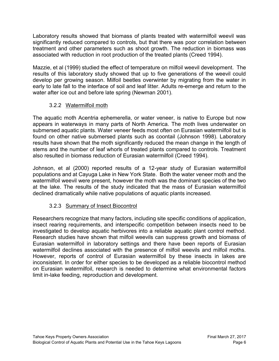Laboratory results showed that biomass of plants treated with watermilfoil weevil was significantly reduced compared to controls, but that there was poor correlation between treatment and other parameters such as shoot growth. The reduction in biomass was associated with reduction in root production of the treated plants (Creed 1994).

Mazzie, et al (1999) studied the effect of temperature on milfoil weevil development. The results of this laboratory study showed that up to five generations of the weevil could develop per growing season. Milfoil beetles overwinter by migrating from the water in early to late fall to the interface of soil and leaf litter. Adults re-emerge and return to the water after ice out and before late spring (Newman 2001).

## 3.2.2 Watermilfoil moth

<span id="page-8-0"></span>The aquatic moth Acentria ephemerella, or water veneer, is native to Europe but now appears in waterways in many parts of North America. The moth lives underwater on submersed aquatic plants. Water veneer feeds most often on Eurasian watermilfoil but is found on other native submersed plants such as coontail (Johnson 1998). Laboratory results have shown that the moth significantly reduced the mean change in the length of stems and the number of leaf whorls of treated plants compared to controls. Treatment also resulted in biomass reduction of Eurasian watermilfoil (Creed 1994).

Johnson, et al (2000) reported results of a 12-year study of Eurasian watermilfoil populations and at Cayuga Lake in New York State. Both the water veneer moth and the watermilfoil weevil were present, however the moth was the dominant species of the two at the lake. The results of the study indicated that the mass of Eurasian watermilfoil declined dramatically while native populations of aquatic plants increased.

## 3.2.3 Summary of Insect Biocontrol

<span id="page-8-1"></span>Researchers recognize that many factors, including site specific conditions of application, insect rearing requirements, and interspecific competition between insects need to be investigated to develop aquatic herbivores into a reliable aquatic plant control method. Research studies have shown that milfoil weevils can suppress growth and biomass of Eurasian watermilfoil in laboratory settings and there have been reports of Eurasian watermilfoil declines associated with the presence of milfoil weevils and milfoil moths. However, reports of control of Eurasian watermilfoil by these insects in lakes are inconsistent. In order for either species to be developed as a reliable biocontrol method on Eurasian watermilfoil, research is needed to determine what environmental factors limit in-lake feeding, reproduction and development.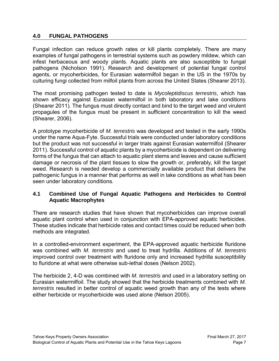#### <span id="page-9-0"></span>**4.0 FUNGAL PATHOGENS**

Fungal infection can reduce growth rates or kill plants completely. There are many examples of fungal pathogens in terrestrial systems such as powdery mildew, which can infest herbaceous and woody plants. Aquatic plants are also susceptible to fungal pathogens (Nicholson 1991). Research and development of potential fungal control agents, or mycoherbicides, for Eurasian watermilfoil began in the US in the 1970s by culturing fungi collected from milfoil plants from across the United States (Shearer 2013).

The most promising pathogen tested to date is *Mycoleptidiscus terrestris*, which has shown efficacy against Eurasian watermilfoil in both laboratory and lake conditions (Shearer 2011)*.* The fungus must directly contact and bind to the target weed and virulent propagules of the fungus must be present in sufficient concentration to kill the weed (Shearer, 2006).

A prototype mycoherbicide of *M. terrestris* was developed and tested in the early 1990s under the name Aqua-Fyte. Successful trials were conducted under laboratory conditions but the product was not successful in larger trials against Eurasian watermilfoil (Shearer 2011). Successful control of aquatic plants by a mycoherbicide is dependent on delivering forms of the fungus that can attach to aquatic plant stems and leaves and cause sufficient damage or necrosis of the plant tissues to slow the growth or, preferably, kill the target weed. Research is needed develop a commercially available product that delivers the pathogenic fungus in a manner that performs as well in lake conditions as what has been seen under laboratory conditions.

#### <span id="page-9-1"></span>**4.1 Combined Use of Fungal Aquatic Pathogens and Herbicides to Control Aquatic Macrophytes**

There are research studies that have shown that mycoherbicides can improve overall aquatic plant control when used in conjunction with EPA-approved aquatic herbicides. These studies indicate that herbicide rates and contact times could be reduced when both methods are integrated.

In a controlled-environment experiment, the EPA-approved aquatic herbicide fluridone was combined with *M. terrestris* and used to treat hydrilla. Additions of *M. terrestris* improved control over treatment with fluridone only and increased hydrilla susceptibility to fluridone at what were otherwise sub-lethal doses (Nelson 2002).

The herbicide 2, 4-D was combined with *M. terrestris* and used in a laboratory setting on Eurasian watermilfoil. The study showed that the herbicide treatments combined with *M. terrestris* resulted in better control of aquatic weed growth than any of the tests where either herbicide or mycoherbicide was used alone (Nelson 2005).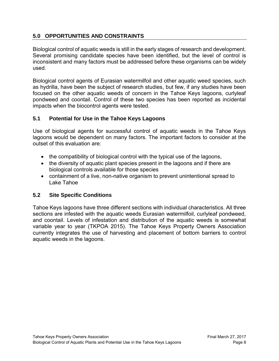### <span id="page-10-0"></span>**5.0 OPPORTUNITIES AND CONSTRAINTS**

Biological control of aquatic weeds is still in the early stages of research and development. Several promising candidate species have been identified, but the level of control is inconsistent and many factors must be addressed before these organisms can be widely used.

Biological control agents of Eurasian watermilfoil and other aquatic weed species, such as hydrilla, have been the subject of research studies, but few, if any studies have been focused on the other aquatic weeds of concern in the Tahoe Keys lagoons, curlyleaf pondweed and coontail. Control of these two species has been reported as incidental impacts when the biocontrol agents were tested.

### <span id="page-10-1"></span>**5.1 Potential for Use in the Tahoe Keys Lagoons**

Use of biological agents for successful control of aquatic weeds in the Tahoe Keys lagoons would be dependent on many factors. The important factors to consider at the outset of this evaluation are:

- the compatibility of biological control with the typical use of the lagoons,
- the diversity of aquatic plant species present in the lagoons and if there are biological controls available for those species
- containment of a live, non-native organism to prevent unintentional spread to Lake Tahoe

## <span id="page-10-2"></span>**5.2 Site Specific Conditions**

Tahoe Keys lagoons have three different sections with individual characteristics. All three sections are infested with the aquatic weeds Eurasian watermilfoil, curlyleaf pondweed, and coontail. Levels of infestation and distribution of the aquatic weeds is somewhat variable year to year (TKPOA 2015). The Tahoe Keys Property Owners Association currently integrates the use of harvesting and placement of bottom barriers to control aquatic weeds in the lagoons.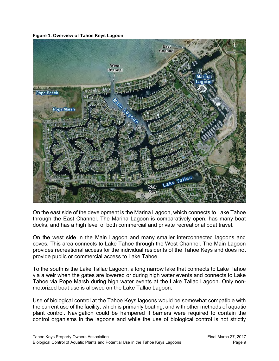



On the east side of the development is the Marina Lagoon, which connects to Lake Tahoe through the East Channel. The Marina Lagoon is comparatively open, has many boat docks, and has a high level of both commercial and private recreational boat travel.

On the west side in the Main Lagoon and many smaller interconnected lagoons and coves. This area connects to Lake Tahoe through the West Channel. The Main Lagoon provides recreational access for the individual residents of the Tahoe Keys and does not provide public or commercial access to Lake Tahoe.

To the south is the Lake Tallac Lagoon, a long narrow lake that connects to Lake Tahoe via a weir when the gates are lowered or during high water events and connects to Lake Tahoe via Pope Marsh during high water events at the Lake Tallac Lagoon. Only nonmotorized boat use is allowed on the Lake Tallac Lagoon.

Use of biological control at the Tahoe Keys lagoons would be somewhat compatible with the current use of the facility, which is primarily boating, and with other methods of aquatic plant control. Navigation could be hampered if barriers were required to contain the control organisms in the lagoons and while the use of biological control is not strictly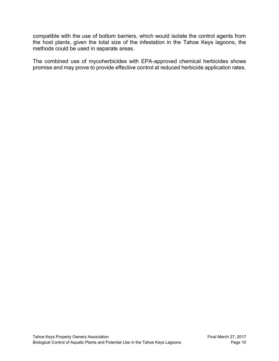compatible with the use of bottom barriers, which would isolate the control agents from the host plants, given the total size of the infestation in the Tahoe Keys lagoons, the methods could be used in separate areas.

The combined use of mycoherbicides with EPA-approved chemical herbicides shows promise and may prove to provide effective control at reduced herbicide application rates.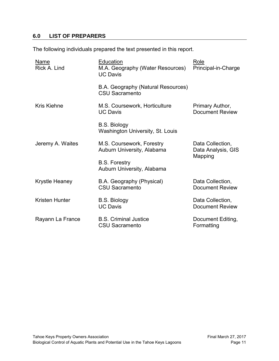## <span id="page-13-0"></span>**6.0 LIST OF PREPARERS**

The following individuals prepared the text presented in this report.

| <b>Name</b><br>Rick A. Lind | Education<br>M.A. Geography (Water Resources)<br><b>UC Davis</b> | Role<br>Principal-in-Charge                       |
|-----------------------------|------------------------------------------------------------------|---------------------------------------------------|
|                             | B.A. Geography (Natural Resources)<br><b>CSU Sacramento</b>      |                                                   |
| <b>Kris Kiehne</b>          | M.S. Coursework, Horticulture<br><b>UC Davis</b>                 | Primary Author,<br>Document Review                |
|                             | <b>B.S. Biology</b><br><b>Washington University, St. Louis</b>   |                                                   |
| Jeremy A. Waites            | M.S. Coursework, Forestry<br>Auburn University, Alabama          | Data Collection,<br>Data Analysis, GIS<br>Mapping |
|                             | <b>B.S. Forestry</b><br>Auburn University, Alabama               |                                                   |
| Krystle Heaney              | B.A. Geography (Physical)<br><b>CSU Sacramento</b>               | Data Collection,<br><b>Document Review</b>        |
| Kristen Hunter              | <b>B.S. Biology</b><br><b>UC Davis</b>                           | Data Collection,<br><b>Document Review</b>        |
| Rayann La France            | <b>B.S. Criminal Justice</b><br><b>CSU Sacramento</b>            | Document Editing,<br>Formatting                   |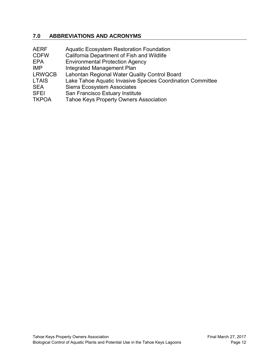## <span id="page-14-0"></span>**7.0 ABBREVIATIONS AND ACRONYMS**

| <b>AERF</b>   | <b>Aquatic Ecosystem Restoration Foundation</b>            |
|---------------|------------------------------------------------------------|
| <b>CDFW</b>   | California Department of Fish and Wildlife                 |
| EPA           | <b>Environmental Protection Agency</b>                     |
| <b>IMP</b>    | Integrated Management Plan                                 |
| <b>LRWQCB</b> | Lahontan Regional Water Quality Control Board              |
| <b>LTAIS</b>  | Lake Tahoe Aquatic Invasive Species Coordination Committee |
| <b>SEA</b>    | Sierra Ecosystem Associates                                |
| <b>SFEI</b>   | San Francisco Estuary Institute                            |
| <b>TKPOA</b>  | <b>Tahoe Keys Property Owners Association</b>              |
|               |                                                            |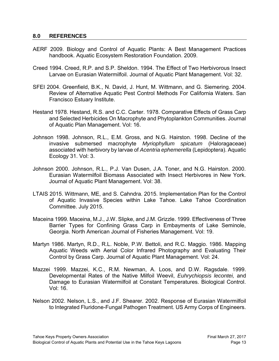#### <span id="page-15-0"></span>**8.0 REFERENCES**

- AERF 2009. Biology and Control of Aquatic Plants: A Best Management Practices handbook. Aquatic Ecosystem Restoration Foundation. 2009.
- Creed 1994. Creed, R.P. and S.P. Sheldon. 1994. The Effect of Two Herbivorous Insect Larvae on Eurasian Watermilfoil. Journal of Aquatic Plant Management. Vol: 32.
- SFEI 2004. Greenfield, B.K., N. David, J. Hunt, M. Wittmann, and G. Siemering. 2004. Review of Alternative Aquatic Pest Control Methods For California Waters. San Francisco Estuary Institute.
- Hestand 1978. Hestand, R.S. and C.C. Carter. 1978. Comparative Effects of Grass Carp and Selected Herbicides On Macrophyte and Phytoplankton Communities. Journal of Aquatic Plan Management. Vol: 16.
- Johnson 1998. Johnson, R.L., E.M. Gross, and N.G. Hairston. 1998. Decline of the invasive submersed macrophyte *Myriophyllum spicatum* (Haloragaceae) associated with herbivory by larvae of *Acentria ephemerella* (Lepidoptera). Aquatic Ecology 31. Vol: 3.
- Johnson 2000. Johnson, R.L., P.J. Van Dusen, J.A. Toner, and N.G. Hairston. 2000. Eurasian Watermilfoil Biomass Associated with Insect Herbivores in New York. Journal of Aquatic Plant Management. Vol: 38.
- LTAIS 2015. Wittmann, ME, and S. Cahndra. 2015. Implementation Plan for the Control of Aquatic Invasive Species within Lake Tahoe. Lake Tahoe Coordination Committee. July 2015.
- Maceina 1999. Maceina, M.J., J.W. Slipke, and J.M. Grizzle. 1999. Effectiveness of Three Barrier Types for Confining Grass Carp in Embayments of Lake Seminole, Georgia. North American Journal of Fisheries Management. Vol: 19.
- Martyn 1986. Martyn, R.D., R.L. Noble, P.W. Bettoli, and R.C. Maggio. 1986. Mapping Aquatic Weeds with Aerial Color Infrared Photography and Evaluating Their Control by Grass Carp. Journal of Aquatic Plant Management. Vol: 24.
- Mazzei 1999. Mazzei, K.C., R.M. Newman, A. Loos, and D.W. Ragsdale. 1999. Developmental Rates of the Native Milfoil Weevil, *Euhrychiopsis lecontei,* and Damage to Eurasian Watermilfoil at Constant Temperatures. Biological Control. Vol: 16.
- Nelson 2002. Nelson, L.S., and J.F. Shearer. 2002. Response of Eurasian Watermilfoil to Integrated Fluridone-Fungal Pathogen Treatment. US Army Corps of Engineers.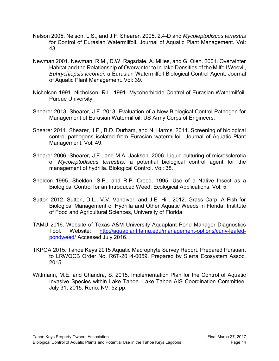- Nelson 2005. Nelson, L.S., and J.F. Shearer. 2005. 2,4-D and *Mycoleptodiscus terrestris*  for Control of Eurasian Watermilfoil. Journal of Aquatic Plant Management. Vol: 43.
- Newman 2001. Newman, R.M., D.W. Ragsdale, A. Milles, and G. Oien. 2001. Overwinter Habitat and the Relationship of Overwinter to In-lake Densities of the Milfoil Weevil, *Euhrychiopsis lecontei,* a Eurasian Watermilfoil Biological Control Agent. Journal of Aquatic Plant Management. Vol: 39.
- Nicholson 1991. Nicholson, R.L. 1991. Mycoherbicide Control of Eurasian Watermilfoil. Purdue University.
- Shearer 2013. Shearer, J.F. 2013. Evaluation of a New Biological Control Pathogen for Management of Eurasian Watermilfoil. US Army Corps of Engineers.
- Shearer 2011. Shearer, J.F., B.D. Durham, and N. Harms. 2011. Screening of biological control pathogens isolated from Eurasian watermilfoil. Journal of Aquatic Plant Management. Vol: 49.
- Shearer 2006. Shearer, J.F., and M.A. Jackson. 2006. Liquid culturing of microsclerotia of *Mycoleptodiscus terrestris,* a potential biological control agent for the management of hydrilla. Biological Control. Vol: 38.
- Sheldon 1995. Sheldon, S.P., and R.P. Creed. 1995. Use of a Native Insect as a Biological Control for an Introduced Weed. Ecological Applications. Vol: 5.
- Sutton 2012. Sutton, D.L., V.V. Vandiver, and J.E. Hill. 2012. Grass Carp: A Fish for Biological Management of Hydrilla and Other Aquatic Weeds in Florida. Institute of Food and Agricultural Sciences, University of Florida.
- TAMU 2016. Website of Texas A&M University Aquaplant Pond Manager Diagnostics Tool. Website: [http://aquaplant.tamu.edu/management-options/curly-leafed](http://aquaplant.tamu.edu/management-options/curly-leafed-pondweed/)[pondweed/](http://aquaplant.tamu.edu/management-options/curly-leafed-pondweed/) Accessed July 2016.
- TKPOA 2015. Tahoe Keys 2015 Aquatic Macrophyte Survey Report. Prepared Pursuant to LRWQCB Order No. R6T-2014-0059. Prepared by Sierra Ecosystem Assoc. 2015.
- Wittmann, M.E. and Chandra, S. 2015. Implementation Plan for the Control of Aquatic Invasive Species within Lake Tahoe. Lake Tahoe AIS Coordination Committee, July 31, 2015. Reno, NV. 52 pp.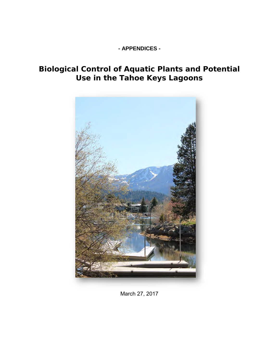## **- APPENDICES -**

# **Biological Control of Aquatic Plants and Potential Use in the Tahoe Keys Lagoons**



March 27, 2017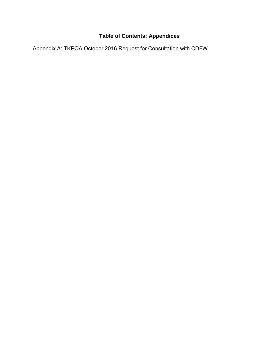# **Table of Contents: Appendices**

Appendix A: TKPOA October 2016 Request for Consultation with CDFW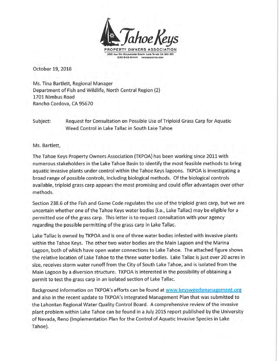

October 19, 2016

Ms. Tina Bartlett, Regional Manager Department of Fish and Wildlife, North Central Region (2) 1701 Nimbus Road Rancho Cordova, CA 95670

Request for Consultation on Possible Use of Triploid Grass Carp for Aquatic Subject: Weed Control in Lake Tallac in South Lake Tahoe

Ms. Bartlett,

The Tahoe Keys Property Owners Association (TKPOA) has been working since 2011 with numerous stakeholders in the Lake Tahoe Basin to identify the most feasible methods to bring aquatic invasive plants under control within the Tahoe Keys lagoons. TKPOA is investigating a broad range of possible controls, including biological methods. Of the biological controls available, triploid grass carp appears the most promising and could offer advantages over other methods.

Section 238.6 of the Fish and Game Code regulates the use of the triploid grass carp, but we are uncertain whether one of the Tahoe Keys water bodies (i.e., Lake Tallac) may be eligible for a permitted use of the grass carp. This letter is to request consultation with your agency regarding the possible permitting of the grass carp in Lake Tallac.

Lake Tallac is owned by TKPOA and is one of three water bodies infested with invasive plants within the Tahoe Keys. The other two water bodies are the Main Lagoon and the Marina Lagoon, both of which have open water connections to Lake Tahoe. The attached figure shows the relative location of Lake Tahoe to the three water bodies. Lake Tallac is just over 20 acres in size, receives storm water runoff from the City of South Lake Tahoe, and is isolated from the Main Lagoon by a diversion structure. TKPOA is interested in the possibility of obtaining a permit to test the grass carp in an isolated section of Lake Tallac.

Background information on TKPOA's efforts can be found at www.keysweedsmanagement.org and also in the recent update to TKPOA's Integrated Management Plan that was submitted to the Lahontan Regional Water Quality Control Board. A comprehensive review of the invasive plant problem within Lake Tahoe can be found in a July 2015 report published by the University of Nevada, Reno (Implementation Plan for the Control of Aquatic Invasive Species in Lake Tahoe).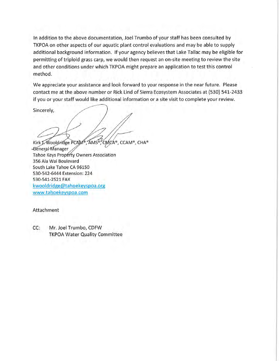In addition to the above documentation, Joel Trumbo of your staff has been consulted by TKPOA on other aspects of our aquatic plant control evaluations and may be able to supply additional background information. If your agency believes that Lake Tallac may be eligible for permitting of triploid grass carp, we would then request an on-site meeting to review the site and other conditions under which TKPOA might prepare an application to test this control method.

We appreciate your assistance and look forward to your response in the near future. Please contact me at the above number or Rick Lind of Sierra Ecosystem Associates at (530) 541-2433 if you or your staff would like additional information or a site visit to complete your review.

Sincerely,

Kirk J. Wooldridge PCAM®, AMS®, CMCA®, CCAM®, CHA® General Manager Tahoe Keys Property Owners Association 356 Ala Wai Boulevard South Lake Tahoe CA 96150 530-542-6444 Extension: 224 530-541-2521 FAX kwooldridge@tahoekeyspoa.org www.tahoekeyspoa.com

#### Attachment

Mr. Joel Trumbo, CDFW  $CC:$ **TKPOA Water Quality Committee**